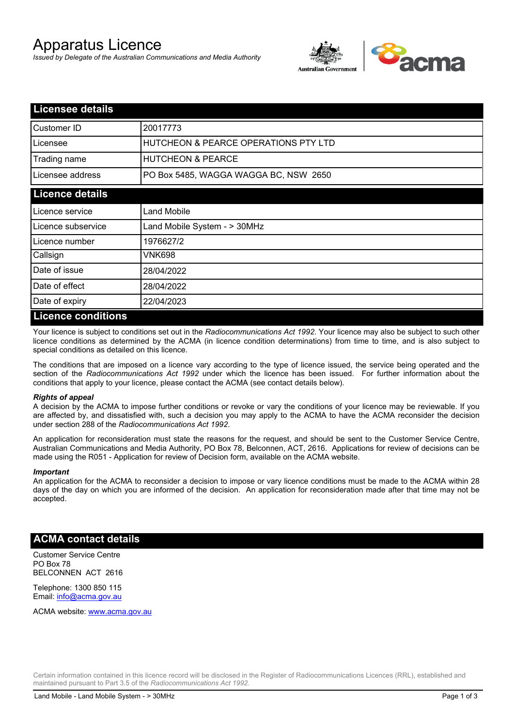# Apparatus Licence

*Issued by Delegate of the Australian Communications and Media Authority*



| <b>Licensee details</b> |                                       |  |
|-------------------------|---------------------------------------|--|
| Customer ID             | 20017773                              |  |
| Licensee                | HUTCHEON & PEARCE OPERATIONS PTY LTD  |  |
| Trading name            | <b>HUTCHEON &amp; PEARCE</b>          |  |
| Licensee address        | PO Box 5485, WAGGA WAGGA BC, NSW 2650 |  |
| <b>Licence details</b>  |                                       |  |
| Licence service         | <b>Land Mobile</b>                    |  |
| Licence subservice      | Land Mobile System - > 30MHz          |  |
| l Licence number        | 1976627/2                             |  |
| Callsign                | VNK698                                |  |
| Date of issue           | 28/04/2022                            |  |
| Date of effect          | 28/04/2022                            |  |
| Date of expiry          | 22/04/2023                            |  |
| Licence conditions      |                                       |  |

## **Licence conditions**

Your licence is subject to conditions set out in the *Radiocommunications Act 1992*. Your licence may also be subject to such other licence conditions as determined by the ACMA (in licence condition determinations) from time to time, and is also subject to special conditions as detailed on this licence.

The conditions that are imposed on a licence vary according to the type of licence issued, the service being operated and the section of the *Radiocommunications Act 1992* under which the licence has been issued. For further information about the conditions that apply to your licence, please contact the ACMA (see contact details below).

#### *Rights of appeal*

A decision by the ACMA to impose further conditions or revoke or vary the conditions of your licence may be reviewable. If you are affected by, and dissatisfied with, such a decision you may apply to the ACMA to have the ACMA reconsider the decision under section 288 of the *Radiocommunications Act 1992*.

An application for reconsideration must state the reasons for the request, and should be sent to the Customer Service Centre, Australian Communications and Media Authority, PO Box 78, Belconnen, ACT, 2616. Applications for review of decisions can be made using the R051 - Application for review of Decision form, available on the ACMA website.

#### *Important*

An application for the ACMA to reconsider a decision to impose or vary licence conditions must be made to the ACMA within 28 days of the day on which you are informed of the decision. An application for reconsideration made after that time may not be accepted.

### **ACMA contact details**

Customer Service Centre PO Box 78 BELCONNEN ACT 2616

Telephone: 1300 850 115 Email: info@acma.gov.au

ACMA website: www.acma.gov.au

Certain information contained in this licence record will be disclosed in the Register of Radiocommunications Licences (RRL), established and maintained pursuant to Part 3.5 of the *Radiocommunications Act 1992.*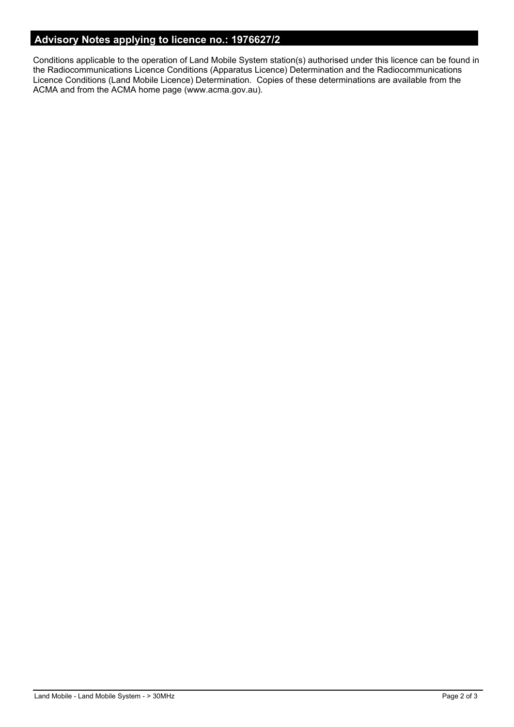## **Advisory Notes applying to licence no.: 1976627/2**

Conditions applicable to the operation of Land Mobile System station(s) authorised under this licence can be found in the Radiocommunications Licence Conditions (Apparatus Licence) Determination and the Radiocommunications Licence Conditions (Land Mobile Licence) Determination. Copies of these determinations are available from the ACMA and from the ACMA home page (www.acma.gov.au).